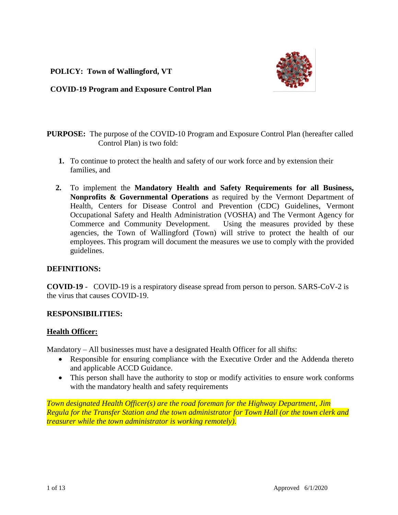**POLICY: Town of Wallingford, VT**



**COVID-19 Program and Exposure Control Plan** 

# **PURPOSE:** The purpose of the COVID-10 Program and Exposure Control Plan (hereafter called Control Plan) is two fold:

- **1.** To continue to protect the health and safety of our work force and by extension their families, and
- **2.** To implement the **Mandatory Health and Safety Requirements for all Business, Nonprofits & Governmental Operations** as required by the Vermont Department of Health, Centers for Disease Control and Prevention (CDC) Guidelines, Vermont Occupational Safety and Health Administration (VOSHA) and The Vermont Agency for Commerce and Community Development. Using the measures provided by these agencies, the Town of Wallingford (Town) will strive to protect the health of our employees. This program will document the measures we use to comply with the provided guidelines.

# **DEFINITIONS:**

**COVID-19** - COVID-19 is a respiratory disease spread from person to person. SARS-CoV-2 is the virus that causes COVID-19.

# **RESPONSIBILITIES:**

# **Health Officer:**

Mandatory – All businesses must have a designated Health Officer for all shifts:

- Responsible for ensuring compliance with the Executive Order and the Addenda thereto and applicable ACCD Guidance.
- This person shall have the authority to stop or modify activities to ensure work conforms with the mandatory health and safety requirements

*Town designated Health Officer(s) are the road foreman for the Highway Department, Jim Regula for the Transfer Station and the town administrator for Town Hall (or the town clerk and treasurer while the town administrator is working remotely).*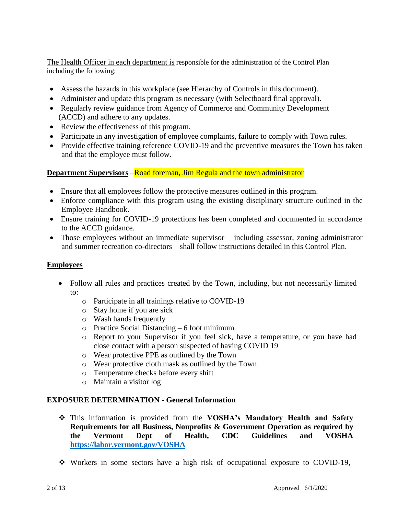The Health Officer in each department is responsible for the administration of the Control Plan including the following;

- Assess the hazards in this workplace (see Hierarchy of Controls in this document).
- Administer and update this program as necessary (with Selectboard final approval).
- Regularly review guidance from Agency of Commerce and Community Development (ACCD) and adhere to any updates.
- Review the effectiveness of this program.
- Participate in any investigation of employee complaints, failure to comply with Town rules.
- Provide effective training reference COVID-19 and the preventive measures the Town has taken and that the employee must follow.

# **Department Supervisors** –Road foreman, Jim Regula and the town administrator

- Ensure that all employees follow the protective measures outlined in this program.
- Enforce compliance with this program using the existing disciplinary structure outlined in the Employee Handbook.
- Ensure training for COVID-19 protections has been completed and documented in accordance to the ACCD guidance.
- Those employees without an immediate supervisor including assessor, zoning administrator and summer recreation co-directors – shall follow instructions detailed in this Control Plan.

# **Employees**

- Follow all rules and practices created by the Town, including, but not necessarily limited to:
	- o Participate in all trainings relative to COVID-19
	- o Stay home if you are sick
	- o Wash hands frequently
	- o Practice Social Distancing 6 foot minimum
	- o Report to your Supervisor if you feel sick, have a temperature, or you have had close contact with a person suspected of having COVID 19
	- o Wear protective PPE as outlined by the Town
	- o Wear protective cloth mask as outlined by the Town
	- o Temperature checks before every shift
	- o Maintain a visitor log

### **EXPOSURE DETERMINATION - General Information**

- This information is provided from the **VOSHA's Mandatory Health and Safety Requirements for all Business, Nonprofits & Government Operation as required by the Vermont Dept of Health, CDC Guidelines and VOSHA <https://labor.vermont.gov/VOSHA>**
- Workers in some sectors have a high risk of occupational exposure to COVID-19,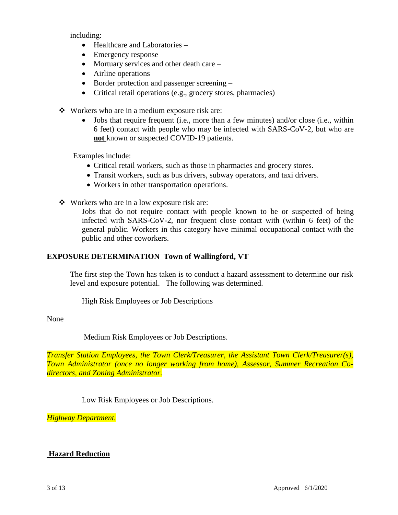including:

- Healthcare and Laboratories –
- $\bullet$  Emergency response –
- Mortuary services and other death care –
- Airline operations –
- Border protection and passenger screening –
- Critical retail operations (e.g., grocery stores, pharmacies)
- Workers who are in a medium exposure risk are:
	- Jobs that require frequent (i.e., more than a few minutes) and/or close (i.e., within 6 feet) contact with people who may be infected with SARS-CoV-2, but who are **not** known or suspected COVID-19 patients.

Examples include:

- Critical retail workers, such as those in pharmacies and grocery stores.
- Transit workers, such as bus drivers, subway operators, and taxi drivers.
- Workers in other transportation operations.
- Workers who are in a low exposure risk are:

Jobs that do not require contact with people known to be or suspected of being infected with SARS-CoV-2, nor frequent close contact with (within 6 feet) of the general public. Workers in this category have minimal occupational contact with the public and other coworkers.

### **EXPOSURE DETERMINATION Town of Wallingford, VT**

The first step the Town has taken is to conduct a hazard assessment to determine our risk level and exposure potential. The following was determined.

High Risk Employees or Job Descriptions

None

Medium Risk Employees or Job Descriptions.

*Transfer Station Employees, the Town Clerk/Treasurer, the Assistant Town Clerk/Treasurer(s), Town Administrator (once no longer working from home), Assessor, Summer Recreation Codirectors, and Zoning Administrator.*

Low Risk Employees or Job Descriptions.

*Highway Department.*

# **Hazard Reduction**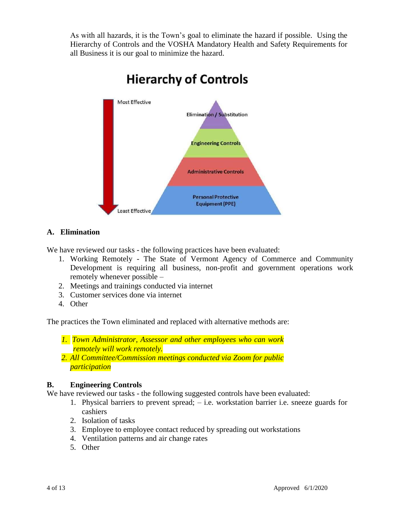As with all hazards, it is the Town's goal to eliminate the hazard if possible. Using the Hierarchy of Controls and the VOSHA Mandatory Health and Safety Requirements for all Business it is our goal to minimize the hazard.



# **Hierarchy of Controls**

# **A. Elimination**

We have reviewed our tasks - the following practices have been evaluated:

- 1. Working Remotely The State of Vermont Agency of Commerce and Community Development is requiring all business, non-profit and government operations work remotely whenever possible –
- 2. Meetings and trainings conducted via internet
- 3. Customer services done via internet
- 4. Other

The practices the Town eliminated and replaced with alternative methods are:

*1. Town Administrator, Assessor and other employees who can work remotely will work remotely.*

*2. All Committee/Commission meetings conducted via Zoom for public participation*

### **B. Engineering Controls**

We have reviewed our tasks - the following suggested controls have been evaluated:

- 1. Physical barriers to prevent spread; i.e. workstation barrier i.e. sneeze guards for cashiers
- 2. Isolation of tasks
- 3. Employee to employee contact reduced by spreading out workstations
- 4. Ventilation patterns and air change rates
- 5. Other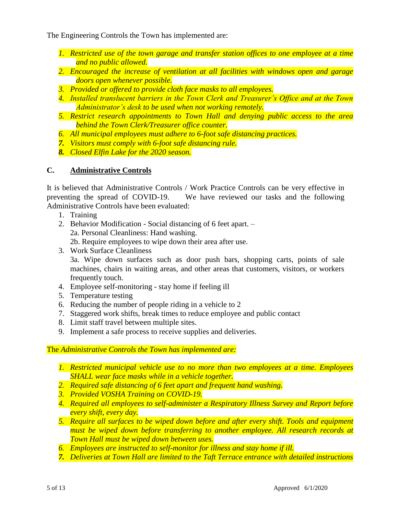The Engineering Controls the Town has implemented are:

- *1. Restricted use of the town garage and transfer station offices to one employee at a time and no public allowed.*
- *2. Encouraged the increase of ventilation at all facilities with windows open and garage doors open whenever possible.*
- *3. Provided or offered to provide cloth face masks to all employees.*
- *4. Installed translucent barriers in the Town Clerk and Treasurer's Office and at the Town Administrator's desk to be used when not working remotely.*
- *5. Restrict research appointments to Town Hall and denying public access to the area behind the Town Clerk/Treasurer office counter.*
- *6. All municipal employees must adhere to 6-foot safe distancing practices.*
- *7. Visitors must comply with 6-foot safe distancing rule.*
- *8. Closed Elfin Lake for the 2020 season.*

# **C. Administrative Controls**

It is believed that Administrative Controls / Work Practice Controls can be very effective in preventing the spread of COVID-19. We have reviewed our tasks and the following Administrative Controls have been evaluated:

- 1. Training
- 2. Behavior Modification Social distancing of 6 feet apart. 2a. Personal Cleanliness: Hand washing. 2b. Require employees to wipe down their area after use.
- 3. Work Surface Cleanliness 3a. Wipe down surfaces such as door push bars, shopping carts, points of sale machines, chairs in waiting areas, and other areas that customers, visitors, or workers frequently touch.
- 4. Employee self-monitoring stay home if feeling ill
- 5. Temperature testing
- 6. Reducing the number of people riding in a vehicle to 2
- 7. Staggered work shifts, break times to reduce employee and public contact
- 8. Limit staff travel between multiple sites.
- 9. Implement a safe process to receive supplies and deliveries.

# The *Administrative Controls the Town has implemented are:*

- *1. Restricted municipal vehicle use to no more than two employees at a time. Employees SHALL wear face masks while in a vehicle together.*
- *2. Required safe distancing of 6 feet apart and frequent hand washing.*
- *3. Provided VOSHA Training on COVID-19.*
- *4. Required all employees to self-administer a Respiratory Illness Survey and Report before every shift, every day.*
- *5. Require all surfaces to be wiped down before and after every shift. Tools and equipment must be wiped down before transferring to another employee. All research records at Town Hall must be wiped down between uses.*
- *6. Employees are instructed to self-monitor for illness and stay home if ill.*
- *7. Deliveries at Town Hall are limited to the Taft Terrace entrance with detailed instructions*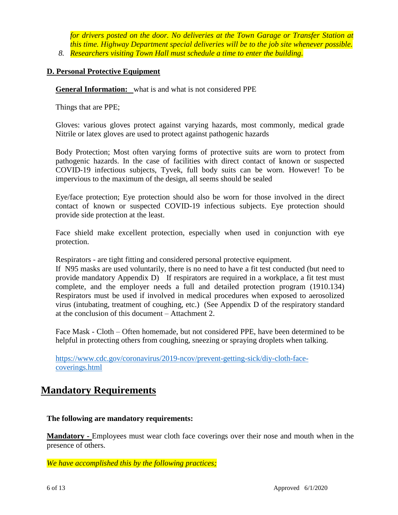*for drivers posted on the door. No deliveries at the Town Garage or Transfer Station at this time. Highway Department special deliveries will be to the job site whenever possible. 8. Researchers visiting Town Hall must schedule a time to enter the building.*

### **D. Personal Protective Equipment**

**General Information:** what is and what is not considered PPE

Things that are PPE;

Gloves: various gloves protect against varying hazards, most commonly, medical grade Nitrile or latex gloves are used to protect against pathogenic hazards

Body Protection; Most often varying forms of protective suits are worn to protect from pathogenic hazards. In the case of facilities with direct contact of known or suspected COVID-19 infectious subjects, Tyvek, full body suits can be worn. However! To be impervious to the maximum of the design, all seems should be sealed

Eye/face protection; Eye protection should also be worn for those involved in the direct contact of known or suspected COVID-19 infectious subjects. Eye protection should provide side protection at the least.

Face shield make excellent protection, especially when used in conjunction with eye protection.

Respirators - are tight fitting and considered personal protective equipment.

If N95 masks are used voluntarily, there is no need to have a fit test conducted (but need to provide mandatory Appendix D) If respirators are required in a workplace, a fit test must complete, and the employer needs a full and detailed protection program (1910.134) Respirators must be used if involved in medical procedures when exposed to aerosolized virus (intubating, treatment of coughing, etc.) (See Appendix D of the respiratory standard at the conclusion of this document – Attachment 2.

Face Mask - Cloth – Often homemade, but not considered PPE, have been determined to be helpful in protecting others from coughing, sneezing or spraying droplets when talking.

[https://www.cdc.gov/coronavirus/2019-ncov/prevent-getting-sick/diy-cloth-face](https://www.cdc.gov/coronavirus/2019-ncov/prevent-getting-sick/diy-cloth-face-coverings.html)[coverings.html](https://www.cdc.gov/coronavirus/2019-ncov/prevent-getting-sick/diy-cloth-face-coverings.html)

# **Mandatory Requirements**

**The following are mandatory requirements:** 

**Mandatory -** Employees must wear cloth face coverings over their nose and mouth when in the presence of others.

*We have accomplished this by the following practices;*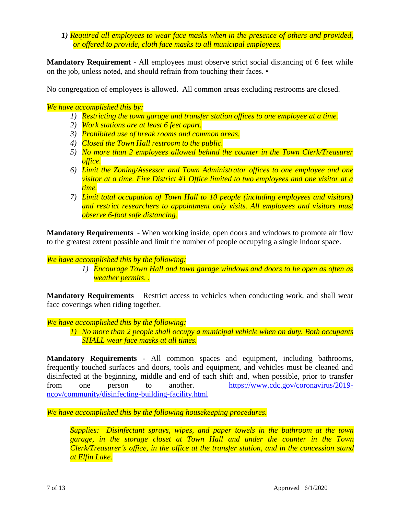*1) Required all employees to wear face masks when in the presence of others and provided, or offered to provide, cloth face masks to all municipal employees.*

**Mandatory Requirement** - All employees must observe strict social distancing of 6 feet while on the job, unless noted, and should refrain from touching their faces. •

No congregation of employees is allowed. All common areas excluding restrooms are closed.

*We have accomplished this by:*

- *1) Restricting the town garage and transfer station offices to one employee at a time.*
- *2) Work stations are at least 6 feet apart.*
- *3) Prohibited use of break rooms and common areas.*
- *4) Closed the Town Hall restroom to the public.*
- *5) No more than 2 employees allowed behind the counter in the Town Clerk/Treasurer office.*
- *6) Limit the Zoning/Assessor and Town Administrator offices to one employee and one visitor at a time. Fire District #1 Office limited to two employees and one visitor at a time.*
- *7) Limit total occupation of Town Hall to 10 people (including employees and visitors) and restrict researchers to appointment only visits. All employees and visitors must observe 6-foot safe distancing.*

**Mandatory Requirements** - When working inside, open doors and windows to promote air flow to the greatest extent possible and limit the number of people occupying a single indoor space.

### *We have accomplished this by the following:*

*1) Encourage Town Hall and town garage windows and doors to be open as often as weather permits. .*

**Mandatory Requirements** – Restrict access to vehicles when conducting work, and shall wear face coverings when riding together.

### *We have accomplished this by the following:*

*1) No more than 2 people shall occupy a municipal vehicle when on duty. Both occupants SHALL wear face masks at all times.*

**Mandatory Requirements** - All common spaces and equipment, including bathrooms, frequently touched surfaces and doors, tools and equipment, and vehicles must be cleaned and disinfected at the beginning, middle and end of each shift and, when possible, prior to transfer from one person to another. [https://www.cdc.gov/coronavirus/2019](https://www.cdc.gov/coronavirus/2019-ncov/community/disinfecting-building-facility.html) [ncov/community/disinfecting-building-facility.html](https://www.cdc.gov/coronavirus/2019-ncov/community/disinfecting-building-facility.html)

*We have accomplished this by the following housekeeping procedures.* 

*Supplies: Disinfectant sprays, wipes, and paper towels in the bathroom at the town garage, in the storage closet at Town Hall and under the counter in the Town Clerk/Treasurer's office, in the office at the transfer station, and in the concession stand at Elfin Lake.*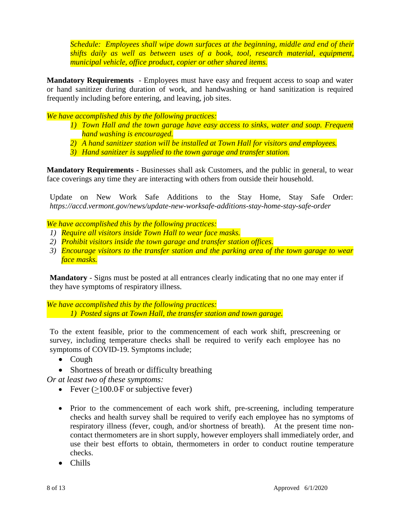*Schedule: Employees shall wipe down surfaces at the beginning, middle and end of their shifts daily as well as between uses of a book, tool, research material, equipment, municipal vehicle, office product, copier or other shared items.*

**Mandatory Requirements** - Employees must have easy and frequent access to soap and water or hand sanitizer during duration of work, and handwashing or hand sanitization is required frequently including before entering, and leaving, job sites.

*We have accomplished this by the following practices:*

- *1) Town Hall and the town garage have easy access to sinks, water and soap. Frequent hand washing is encouraged.*
- *2) A hand sanitizer station will be installed at Town Hall for visitors and employees.*
- *3) Hand sanitizer is supplied to the town garage and transfer station.*

**Mandatory Requirements** - Businesses shall ask Customers, and the public in general, to wear face coverings any time they are interacting with others from outside their household.

Update on New Work Safe Additions to the Stay Home, Stay Safe Order: *https://accd.vermont.gov/news/update-new-worksafe-additions-stay-home-stay-safe-order*

*We have accomplished this by the following practices:* 

- *1) Require all visitors inside Town Hall to wear face masks.*
- *2) Prohibit visitors inside the town garage and transfer station offices.*
- *3) Encourage visitors to the transfer station and the parking area of the town garage to wear face masks.*

**Mandatory** - Signs must be posted at all entrances clearly indicating that no one may enter if they have symptoms of respiratory illness.

*We have accomplished this by the following practices: 1) Posted signs at Town Hall, the transfer station and town garage.* 

To the extent feasible, prior to the commencement of each work shift, prescreening or survey, including temperature checks shall be required to verify each employee has no symptoms of COVID-19. Symptoms include;

- $\bullet$  Cough
- Shortness of breath or difficulty breathing

*Or at least two of these symptoms:*

- Fever  $(>100.0 \text{ F or subjective fever})$
- Prior to the commencement of each work shift, pre-screening, including temperature checks and health survey shall be required to verify each employee has no symptoms of respiratory illness (fever, cough, and/or shortness of breath). At the present time noncontact thermometers are in short supply, however employers shall immediately order, and use their best efforts to obtain, thermometers in order to conduct routine temperature checks.
- Chills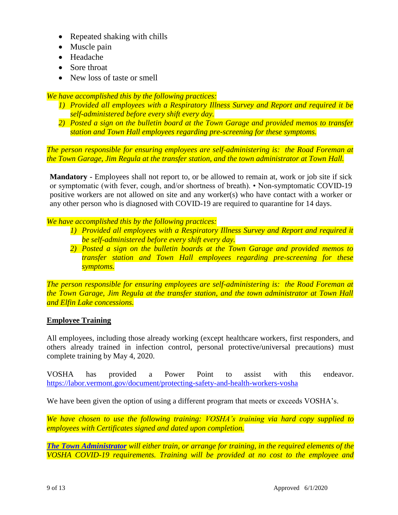- Repeated shaking with chills
- Muscle pain
- Headache
- Sore throat
- New loss of taste or smell

*We have accomplished this by the following practices:*

- *1) Provided all employees with a Respiratory Illness Survey and Report and required it be self-administered before every shift every day.*
- *2) Posted a sign on the bulletin board at the Town Garage and provided memos to transfer station and Town Hall employees regarding pre-screening for these symptoms.*

*The person responsible for ensuring employees are self-administering is: the Road Foreman at the Town Garage, Jim Regula at the transfer station, and the town administrator at Town Hall.*

**Mandatory -** Employees shall not report to, or be allowed to remain at, work or job site if sick or symptomatic (with fever, cough, and/or shortness of breath). • Non-symptomatic COVID-19 positive workers are not allowed on site and any worker(s) who have contact with a worker or any other person who is diagnosed with COVID-19 are required to quarantine for 14 days.

*We have accomplished this by the following practices:* 

- *1) Provided all employees with a Respiratory Illness Survey and Report and required it be self-administered before every shift every day.*
- *2) Posted a sign on the bulletin boards at the Town Garage and provided memos to transfer station and Town Hall employees regarding pre-screening for these symptoms.*

*The person responsible for ensuring employees are self-administering is: the Road Foreman at the Town Garage, Jim Regula at the transfer station, and the town administrator at Town Hall and Elfin Lake concessions.*

# **Employee Training**

All employees, including those already working (except healthcare workers, first responders, and others already trained in infection control, personal protective/universal precautions) must complete training by May 4, 2020.

VOSHA has provided a Power Point to assist with this endeavor. <https://labor.vermont.gov/document/protecting-safety-and-health-workers-vosha>

We have been given the option of using a different program that meets or exceeds VOSHA's.

*We have chosen to use the following training: VOSHA's training via hard copy supplied to employees with Certificates signed and dated upon completion.*

*The Town Administrator will either train, or arrange for training, in the required elements of the VOSHA COVID-19 requirements. Training will be provided at no cost to the employee and*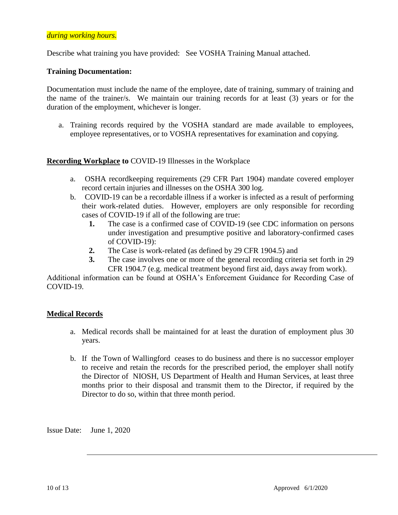### *during working hours.*

Describe what training you have provided: See VOSHA Training Manual attached.

### **Training Documentation:**

Documentation must include the name of the employee, date of training, summary of training and the name of the trainer/s. We maintain our training records for at least (3) years or for the duration of the employment, whichever is longer.

a. Training records required by the VOSHA standard are made available to employees, employee representatives, or to VOSHA representatives for examination and copying.

### **Recording Workplace to** COVID-19 Illnesses in the Workplace

- a. OSHA recordkeeping requirements (29 CFR Part 1904) mandate covered employer record certain injuries and illnesses on the OSHA 300 log.
- b. COVID-19 can be a recordable illness if a worker is infected as a result of performing their work-related duties. However, employers are only responsible for recording cases of COVID-19 if all of the following are true:
	- **1.** The case is a confirmed case of COVID-19 (see CDC information on persons under investigation and presumptive positive and laboratory-confirmed cases of COVID-19):
	- **2.** The Case is work-related (as defined by 29 CFR 1904.5) and
	- **3.** The case involves one or more of the general recording criteria set forth in 29 CFR 1904.7 (e.g. medical treatment beyond first aid, days away from work).

Additional information can be found at OSHA's Enforcement Guidance for Recording Case of COVID-19.

### **Medical Records**

- a. Medical records shall be maintained for at least the duration of employment plus 30 years.
- b. If the Town of Wallingford ceases to do business and there is no successor employer to receive and retain the records for the prescribed period, the employer shall notify the Director of NIOSH, US Department of Health and Human Services, at least three months prior to their disposal and transmit them to the Director, if required by the Director to do so, within that three month period.

Issue Date: June 1, 2020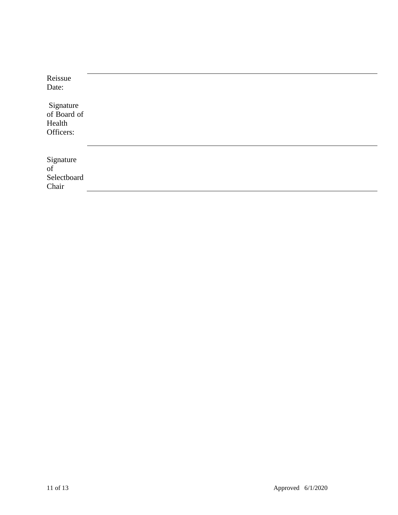| Reissue                                         |  |  |
|-------------------------------------------------|--|--|
| Date:                                           |  |  |
| Signature<br>of Board of<br>Health<br>Officers: |  |  |
| Signature<br>of<br>Selectboard<br>Chair         |  |  |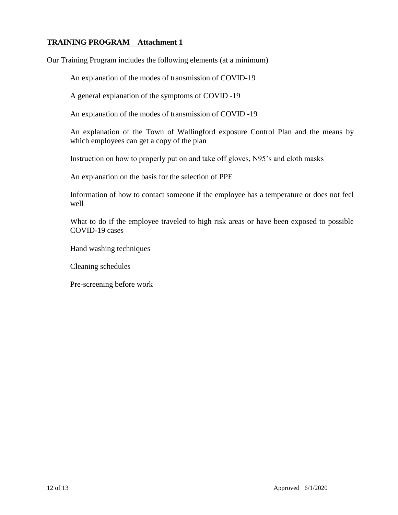# **TRAINING PROGRAM Attachment 1**

Our Training Program includes the following elements (at a minimum)

An explanation of the modes of transmission of COVID-19

A general explanation of the symptoms of COVID -19

An explanation of the modes of transmission of COVID -19

An explanation of the Town of Wallingford exposure Control Plan and the means by which employees can get a copy of the plan

Instruction on how to properly put on and take off gloves, N95's and cloth masks

An explanation on the basis for the selection of PPE

Information of how to contact someone if the employee has a temperature or does not feel well

What to do if the employee traveled to high risk areas or have been exposed to possible COVID-19 cases

Hand washing techniques

Cleaning schedules

Pre-screening before work